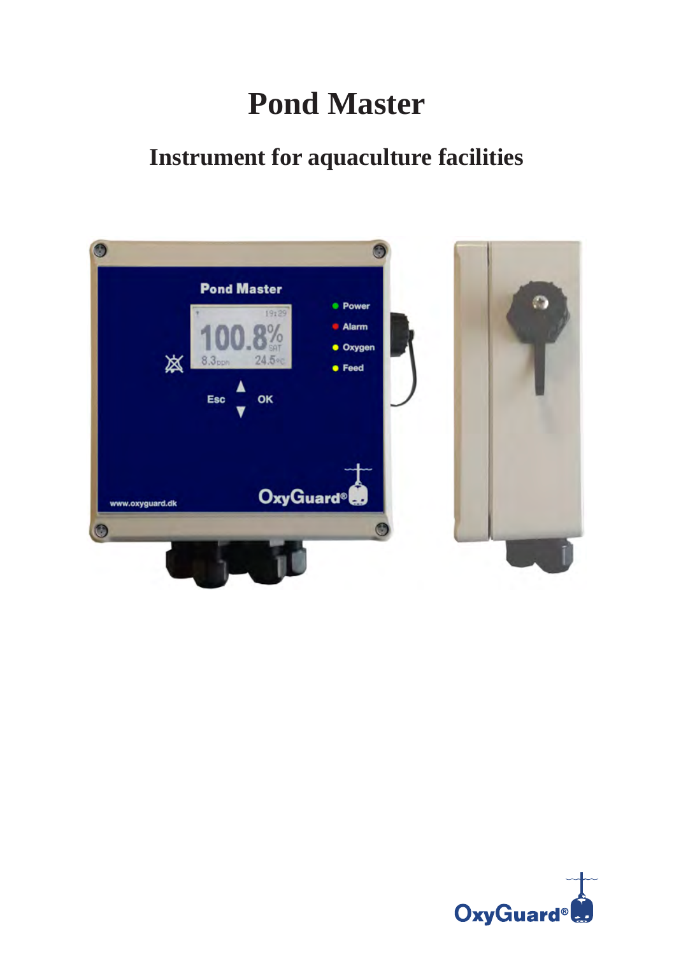# **Pond Master**

## **Instrument for aquaculture facilities**



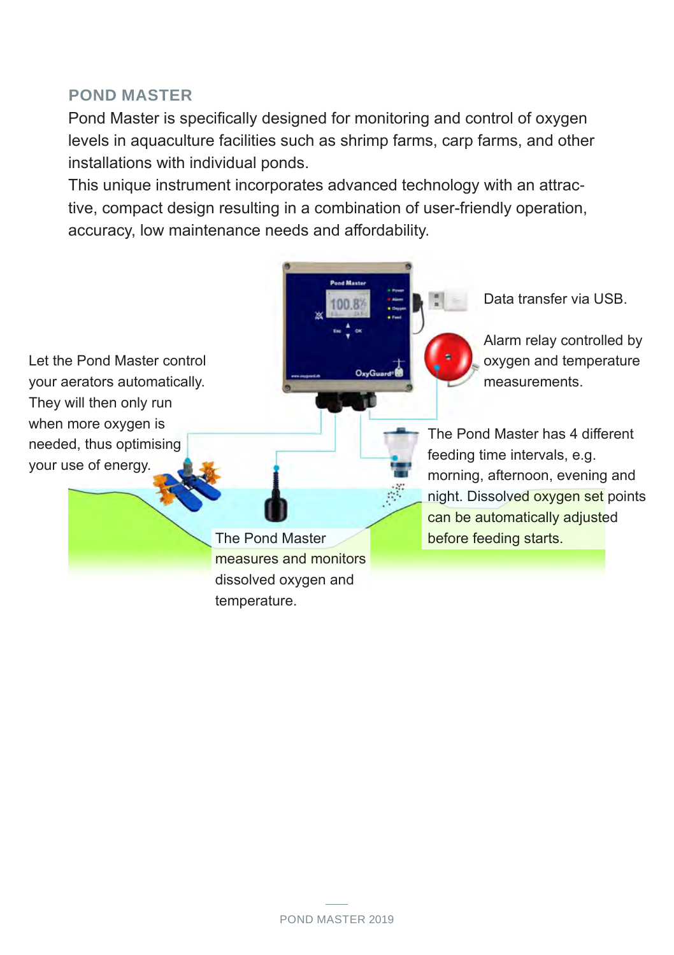#### **POND MASTER**

Pond Master is specifically designed for monitoring and control of oxygen levels in aquaculture facilities such as shrimp farms, carp farms, and other installations with individual ponds.

This unique instrument incorporates advanced technology with an attractive, compact design resulting in a combination of user-friendly operation, accuracy, low maintenance needs and affordability.

> **Pond Maste** 100.8

Let the Pond Master control your aerators automatically. They will then only run when more oxygen is needed, thus optimising your use of energy.

> measures and monitors dissolved oxygen and temperature.

Data transfer via USB.

Alarm relay controlled by oxygen and temperature measurements.

The Pond Master has 4 different feeding time intervals, e.g. morning, afternoon, evening and night. Dissolved oxygen set points can be automatically adjusted The Pond Master before feeding starts.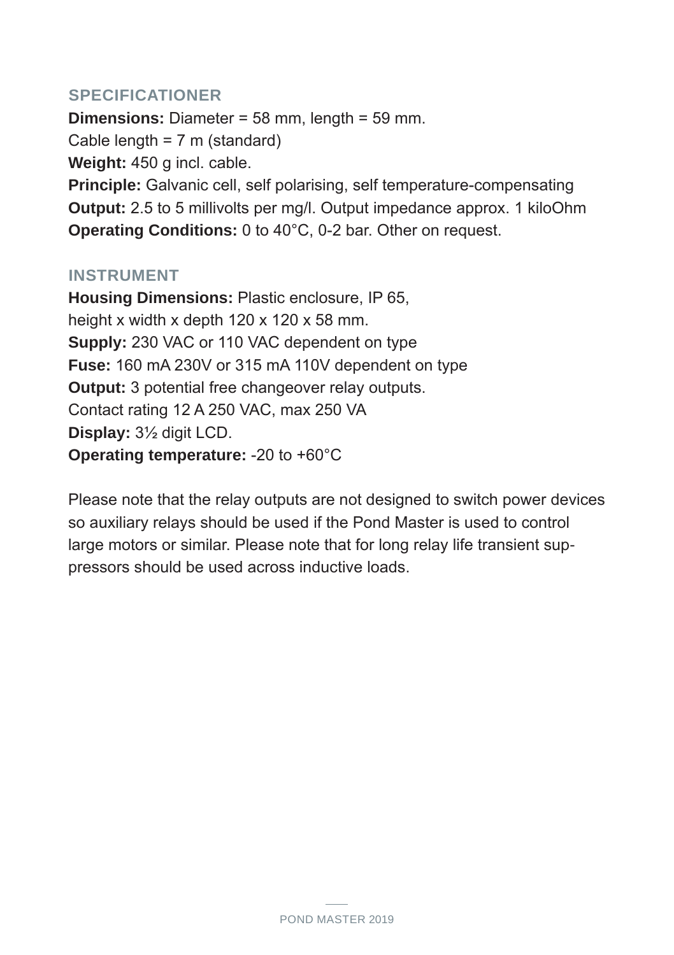#### **SPECIFICATIONER**

**Dimensions:** Diameter = 58 mm, length = 59 mm. Cable length = 7 m (standard) **Weight:** 450 g incl. cable. **Principle:** Galvanic cell, self polarising, self temperature-compensating **Output:** 2.5 to 5 millivolts per mg/l. Output impedance approx. 1 kiloOhm **Operating Conditions:** 0 to 40°C, 0-2 bar. Other on request.

#### **INSTRUMENT**

**Housing Dimensions:** Plastic enclosure, IP 65, height x width x depth 120 x 120 x 58 mm. **Supply:** 230 VAC or 110 VAC dependent on type **Fuse:** 160 mA 230V or 315 mA 110V dependent on type **Output:** 3 potential free changeover relay outputs. Contact rating 12 A 250 VAC, max 250 VA **Display:** 3½ digit LCD. **Operating temperature:** -20 to +60°C

Please note that the relay outputs are not designed to switch power devices so auxiliary relays should be used if the Pond Master is used to control large motors or similar. Please note that for long relay life transient suppressors should be used across inductive loads.